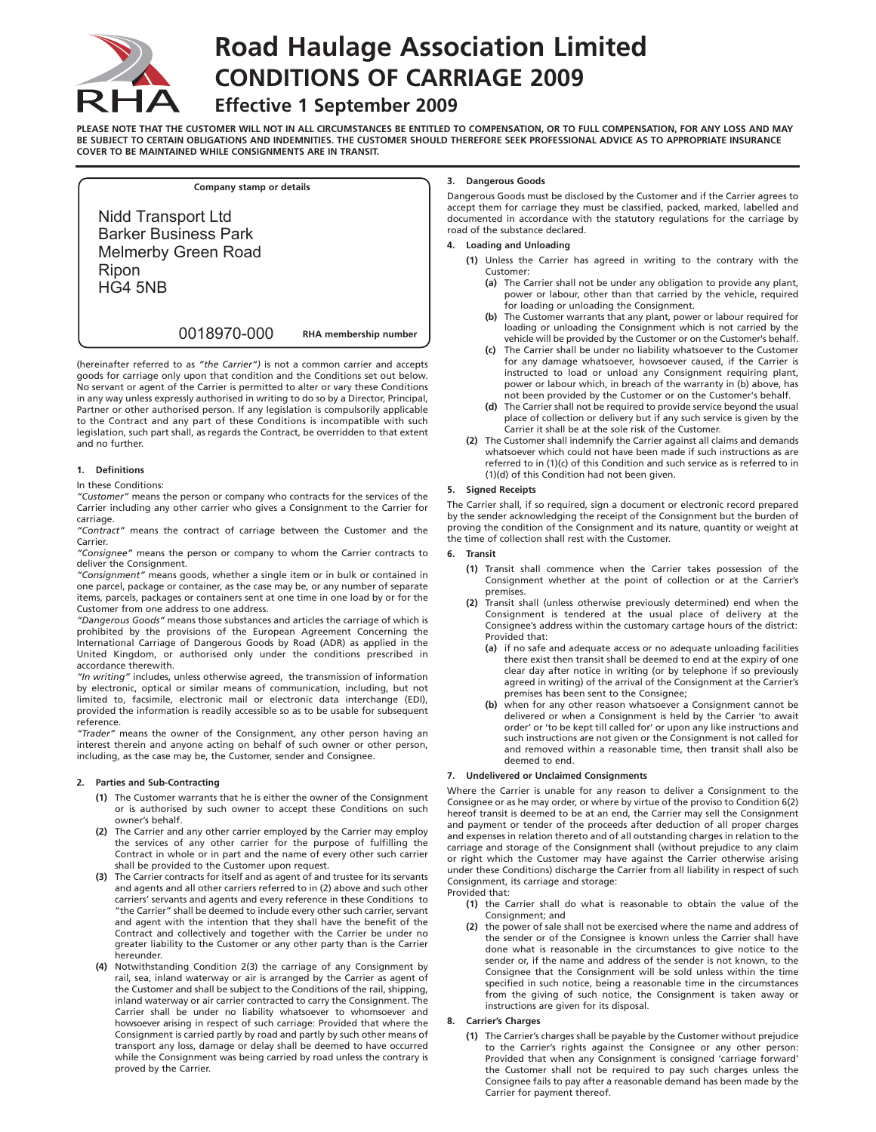

# **Road Haulage Association Limited CONDITIONS OF CARRIAGE 2009**

# **Effective 1 September 2009**

**PLEASE NOTE THAT THE CUSTOMER WILL NOT IN ALL CIRCUMSTANCES BE ENTITLED TO COMPENSATION, OR TO FULL COMPENSATION, FOR ANY LOSS AND MAY BE SUBJECT TO CERTAIN OBLIGATIONS AND INDEMNITIES. THE CUSTOMER SHOULD THEREFORE SEEK PROFESSIONAL ADVICE AS TO APPROPRIATE INSURANCE COVER TO BE MAINTAINED WHILE CONSIGNMENTS ARE IN TRANSIT.**

**Company stamp or details**  Nidd Transport Ltd Barker Business Park Melmerby Green Road Ripon HG4 5NB

0018970-000

**RHA membership number**

(hereinafter referred to as *"the Carrier")* is not a common carrier and accepts goods for carriage only upon that condition and the Conditions set out below. No servant or agent of the Carrier is permitted to alter or vary these Conditions in any way unless expressly authorised in writing to do so by a Director, Principal, Partner or other authorised person. If any legislation is compulsorily applicable to the Contract and any part of these Conditions is incompatible with such legislation, such part shall, as regards the Contract, be overridden to that extent and no further.

### **1. Definitions**

#### In these Conditions:

*"Customer"* means the person or company who contracts for the services of the Carrier including any other carrier who gives a Consignment to the Carrier for carriage.

*"Contract"* means the contract of carriage between the Customer and the Carrier.

*"Consignee"* means the person or company to whom the Carrier contracts to deliver the Consignment.

*"Consignment"* means goods, whether a single item or in bulk or contained in one parcel, package or container, as the case may be, or any number of separate items, parcels, packages or containers sent at one time in one load by or for the Customer from one address to one address.

*"Dangerous Goods"* means those substances and articles the carriage of which is prohibited by the provisions of the European Agreement Concerning the International Carriage of Dangerous Goods by Road (ADR) as applied in the United Kingdom, or authorised only under the conditions prescribed in accordance therewith.

*"In writing"* includes, unless otherwise agreed, the transmission of information by electronic, optical or similar means of communication, including, but not limited to, facsimile, electronic mail or electronic data interchange (EDI), provided the information is readily accessible so as to be usable for subsequent reference.

*"Trader"* means the owner of the Consignment, any other person having an interest therein and anyone acting on behalf of such owner or other person, including, as the case may be, the Customer, sender and Consignee.

## **2. Parties and Sub-Contracting**

- **(1)** The Customer warrants that he is either the owner of the Consignment or is authorised by such owner to accept these Conditions on such owner's behalf.
- **(2)** The Carrier and any other carrier employed by the Carrier may employ the services of any other carrier for the purpose of fulfilling the Contract in whole or in part and the name of every other such carrier shall be provided to the Customer upon request.
- **(3)** The Carrier contracts for itself and as agent of and trustee for its servants and agents and all other carriers referred to in (2) above and such other carriers' servants and agents and every reference in these Conditions to "the Carrier" shall be deemed to include every other such carrier, servant and agent with the intention that they shall have the benefit of the Contract and collectively and together with the Carrier be under no greater liability to the Customer or any other party than is the Carrier hereunder.
- **(4)** Notwithstanding Condition 2(3) the carriage of any Consignment by rail, sea, inland waterway or air is arranged by the Carrier as agent of the Customer and shall be subject to the Conditions of the rail, shipping, inland waterway or air carrier contracted to carry the Consignment. The Carrier shall be under no liability whatsoever to whomsoever and howsoever arising in respect of such carriage: Provided that where the Consignment is carried partly by road and partly by such other means of transport any loss, damage or delay shall be deemed to have occurred while the Consignment was being carried by road unless the contrary is proved by the Carrier.

#### **3. Dangerous Goods**

Dangerous Goods must be disclosed by the Customer and if the Carrier agrees to accept them for carriage they must be classified, packed, marked, labelled and documented in accordance with the statutory regulations for the carriage by road of the substance declared.

#### **4. Loading and Unloading**

- **(1)** Unless the Carrier has agreed in writing to the contrary with the Customer:
	- **(a)** The Carrier shall not be under any obligation to provide any plant, power or labour, other than that carried by the vehicle, required for loading or unloading the Consignment.
	- **(b)** The Customer warrants that any plant, power or labour required for loading or unloading the Consignment which is not carried by the vehicle will be provided by the Customer or on the Customer's behalf.
	- **(c)** The Carrier shall be under no liability whatsoever to the Customer for any damage whatsoever, howsoever caused, if the Carrier is instructed to load or unload any Consignment requiring plant, power or labour which, in breach of the warranty in (b) above, has not been provided by the Customer or on the Customer's behalf.
	- **(d)** The Carrier shall not be required to provide service beyond the usual place of collection or delivery but if any such service is given by the Carrier it shall be at the sole risk of the Customer.
- **(2)** The Customer shall indemnify the Carrier against all claims and demands whatsoever which could not have been made if such instructions as are referred to in (1)(c) of this Condition and such service as is referred to in (1)(d) of this Condition had not been given.

#### **5. Signed Receipts**

The Carrier shall, if so required, sign a document or electronic record prepared by the sender acknowledging the receipt of the Consignment but the burden of proving the condition of the Consignment and its nature, quantity or weight at the time of collection shall rest with the Customer.

#### **6. Transit**

- **(1)** Transit shall commence when the Carrier takes possession of the Consignment whether at the point of collection or at the Carrier's premises.
- **(2)** Transit shall (unless otherwise previously determined) end when the Consignment is tendered at the usual place of delivery at the Consignee's address within the customary cartage hours of the district: Provided that:
	- **(a)** if no safe and adequate access or no adequate unloading facilities there exist then transit shall be deemed to end at the expiry of one clear day after notice in writing (or by telephone if so previously agreed in writing) of the arrival of the Consignment at the Carrier's premises has been sent to the Consignee;
	- **(b)** when for any other reason whatsoever a Consignment cannot be delivered or when a Consignment is held by the Carrier 'to await order' or 'to be kept till called for' or upon any like instructions and such instructions are not given or the Consignment is not called for and removed within a reasonable time, then transit shall also be deemed to end.

#### **7. Undelivered or Unclaimed Consignments**

Where the Carrier is unable for any reason to deliver a Consignment to the Consignee or as he may order, or where by virtue of the proviso to Condition 6(2) hereof transit is deemed to be at an end, the Carrier may sell the Consignment and payment or tender of the proceeds after deduction of all proper charges and expenses in relation thereto and of all outstanding charges in relation to the carriage and storage of the Consignment shall (without prejudice to any claim or right which the Customer may have against the Carrier otherwise arising under these Conditions) discharge the Carrier from all liability in respect of such Consignment, its carriage and storage: Provided that:

- **(1)** the Carrier shall do what is reasonable to obtain the value of the Consignment; and
- **(2)** the power of sale shall not be exercised where the name and address of the sender or of the Consignee is known unless the Carrier shall have done what is reasonable in the circumstances to give notice to the sender or, if the name and address of the sender is not known, to the Consignee that the Consignment will be sold unless within the time specified in such notice, being a reasonable time in the circumstances from the giving of such notice, the Consignment is taken away or instructions are given for its disposal.

#### **8. Carrier's Charges**

**(1)** The Carrier's charges shall be payable by the Customer without prejudice to the Carrier's rights against the Consignee or any other person: Provided that when any Consignment is consigned 'carriage forward' the Customer shall not be required to pay such charges unless the Consignee fails to pay after a reasonable demand has been made by the Carrier for payment thereof.